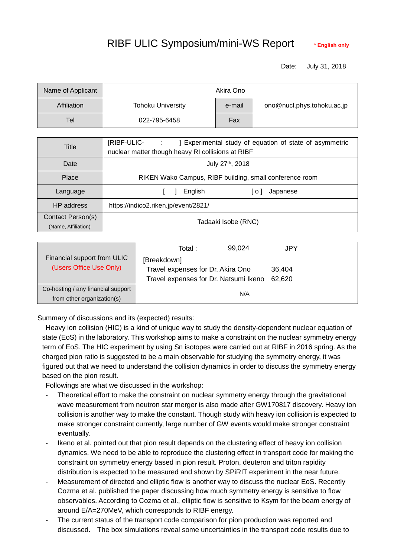## RIBF ULIC Symposium/mini-WS Report **\*** English only

Date: July 31, 2018

| Name of Applicant | Akira Ono                |        |                            |  |  |
|-------------------|--------------------------|--------|----------------------------|--|--|
| Affiliation       | <b>Tohoku University</b> | e-mail | ono@nucl.phys.tohoku.ac.jp |  |  |
| Tel               | 022-795-6458             | Fax    |                            |  |  |

| Title                                    | [RIBF-ULIC- :<br>] Experimental study of equation of state of asymmetric<br>nuclear matter though heavy RI collisions at RIBF |  |  |  |  |
|------------------------------------------|-------------------------------------------------------------------------------------------------------------------------------|--|--|--|--|
| Date                                     | July 27th, 2018                                                                                                               |  |  |  |  |
| Place                                    | RIKEN Wako Campus, RIBF building, small conference room                                                                       |  |  |  |  |
| Language                                 | English<br>Japanese<br>1 o I                                                                                                  |  |  |  |  |
| HP address                               | https://indico2.riken.jp/event/2821/                                                                                          |  |  |  |  |
| Contact Person(s)<br>(Name, Affiliation) | Tadaaki Isobe (RNC)                                                                                                           |  |  |  |  |

|                                    | Total :                               | 99,024 | JPY    |  |
|------------------------------------|---------------------------------------|--------|--------|--|
| Financial support from ULIC        | [Breakdown]                           |        |        |  |
| (Users Office Use Only)            | Travel expenses for Dr. Akira Ono     |        | 36.404 |  |
|                                    | Travel expenses for Dr. Natsumi Ikeno |        | 62,620 |  |
| Co-hosting / any financial support | N/A                                   |        |        |  |
| from other organization(s)         |                                       |        |        |  |

Summary of discussions and its (expected) results:

Heavy ion collision (HIC) is a kind of unique way to study the density-dependent nuclear equation of state (EoS) in the laboratory. This workshop aims to make a constraint on the nuclear symmetry energy term of EoS. The HIC experiment by using Sn isotopes were carried out at RIBF in 2016 spring. As the charged pion ratio is suggested to be a main observable for studying the symmetry energy, it was figured out that we need to understand the collision dynamics in order to discuss the symmetry energy based on the pion result.

Followings are what we discussed in the workshop:

- Theoretical effort to make the constraint on nuclear symmetry energy through the gravitational wave measurement from neutron star merger is also made after GW170817 discovery. Heavy ion collision is another way to make the constant. Though study with heavy ion collision is expected to make stronger constraint currently, large number of GW events would make stronger constraint eventually.
- Ikeno et al. pointed out that pion result depends on the clustering effect of heavy ion collision dynamics. We need to be able to reproduce the clustering effect in transport code for making the constraint on symmetry energy based in pion result. Proton, deuteron and triton rapidity distribution is expected to be measured and shown by SPiRIT experiment in the near future.
- Measurement of directed and elliptic flow is another way to discuss the nuclear EoS. Recently Cozma et al. published the paper discussing how much symmetry energy is sensitive to flow observables. According to Cozma et al., elliptic flow is sensitive to Ksym for the beam energy of around E/A=270MeV, which corresponds to RIBF energy.
- The current status of the transport code comparison for pion production was reported and discussed. The box simulations reveal some uncertainties in the transport code results due to